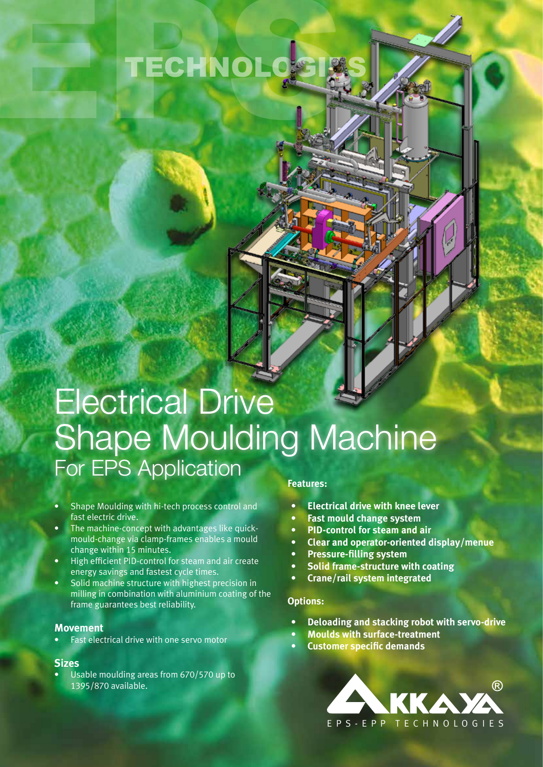# TECHNOLOGIES

# Electrical Drive Shape Moulding Machine For EPS Application

- Shape Moulding with hi-tech process control and fast electric drive.
- The machine-concept with advantages like quickmould-change via clamp-frames enables a mould change within 15 minutes.
- High efficient PID-control for steam and air create energy savings and fastest cycle times.
- Solid machine structure with highest precision in milling in combination with aluminium coating of the frame guarantees best reliability.

### **Movement**

• Fast electrical drive with one servo motor

### **Sizes**

• Usable moulding areas from 670/570 up to 1395/870 available.

### **Features:**

- **• Electrical drive with knee lever**
- **• Fast mould change system**
- **• PID-control for steam and air**
- **• Clear and operator-oriented display/menue**
- **• Pressure-filling system**
- **• Solid frame-structure with coating**
- **• Crane/rail system integrated**

### **Options:**

- **• Deloading and stacking robot with servo-drive**
- **• Moulds with surface-treatment**
- **• Customer specific demands**